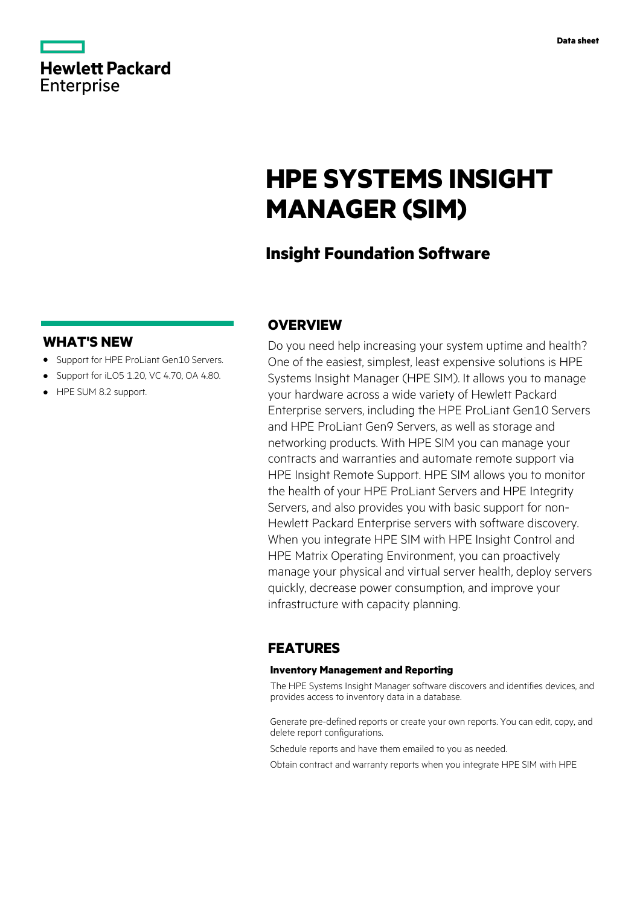|                   | <b>Hewlett Packard</b> |
|-------------------|------------------------|
| <b>Enterprise</b> |                        |

# **HPE SYSTEMS INSIGHT MANAGER (SIM)**

# **Insight Foundation Software**

### **WHAT'S NEW**

- **·** Support for HPE ProLiant Gen10 Servers.
- **·** Support for iLO5 1.20, VC 4.70, OA 4.80.
- **·** HPE SUM 8.2 support.

## **OVERVIEW**

Do you need help increasing your system uptime and health? One of the easiest, simplest, least expensive solutions is HPE Systems Insight Manager (HPE SIM). It allows you to manage your hardware across a wide variety of Hewlett Packard Enterprise servers, including the HPE ProLiant Gen10 Servers and HPE ProLiant Gen9 Servers, as well as storage and networking products. With HPE SIM you can manage your contracts and warranties and automate remote support via HPE Insight Remote Support. HPE SIM allows you to monitor the health of your HPE ProLiant Servers and HPE Integrity Servers, and also provides you with basic support for non-Hewlett Packard Enterprise servers with software discovery. When you integrate HPE SIM with HPE Insight Control and HPE Matrix Operating Environment, you can proactively manage your physical and virtual server health, deploy servers quickly, decrease power consumption, and improve your infrastructure with capacity planning.

## **FEATURES**

#### **Inventory Management and Reporting**

The HPE Systems Insight Manager software discovers and identifies devices, and provides access to inventory data in a database.

Generate pre-defined reports or create your own reports. You can edit, copy, and delete report configurations.

- Schedule reports and have them emailed to you as needed.
- Obtain contract and warranty reports when you integrate HPE SIM with HPE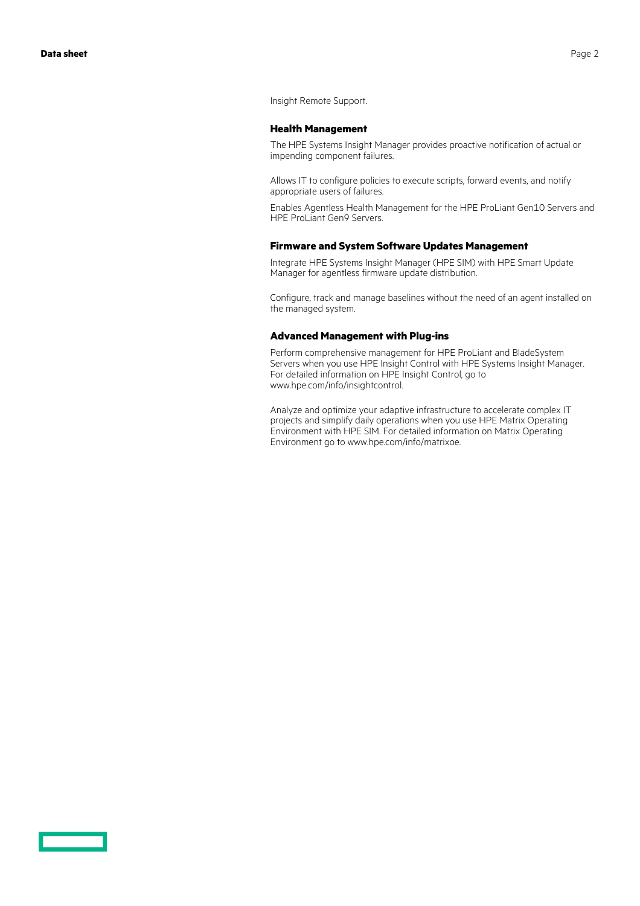Insight Remote Support.

#### **Health Management**

The HPE Systems Insight Manager provides proactive notification of actual or impending component failures.

Allows IT to configure policies to execute scripts, forward events, and notify appropriate users of failures.

Enables Agentless Health Management for the HPE ProLiant Gen10 Servers and HPE ProLiant Gen9 Servers.

#### **Firmware and System Software Updates Management**

Integrate HPE Systems Insight Manager (HPE SIM) with HPE Smart Update Manager for agentless firmware update distribution.

Configure, track and manage baselines without the need of an agent installed on the managed system.

#### **Advanced Management with Plug-ins**

Perform comprehensive management for HPE ProLiant and BladeSystem Servers when you use HPE Insight Control with HPE Systems Insight Manager. For detailed information on HPE Insight Control, go to www.hpe.com/info/insightcontrol.

Analyze and optimize your adaptive infrastructure to accelerate complex IT projects and simplify daily operations when you use HPE Matrix Operating Environment with HPE SIM. For detailed information on Matrix Operating Environment go to www.hpe.com/info/matrixoe.